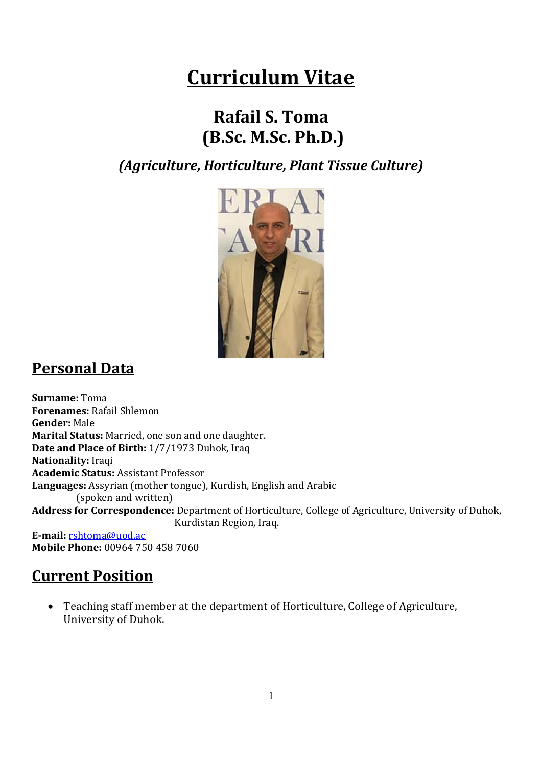# Curriculum Vitae

## Rafail S. Toma (B.Sc. M.Sc. Ph.D.)

(Agriculture, Horticulture, Plant Tissue Culture)



### Personal Data

Surname: Toma Forenames: Rafail Shlemon Gender: Male Marital Status: Married, one son and one daughter. Date and Place of Birth: 1/7/1973 Duhok, Iraq Nationality: Iraqi Academic Status: Assistant Professor Languages: Assyrian (mother tongue), Kurdish, English and Arabic (spoken and written) Address for Correspondence: Department of Horticulture, College of Agriculture, University of Duhok, Kurdistan Region, Iraq.

E-mail: rshtoma@uod.ac Mobile Phone: 00964 750 458 7060

### Current Position

 Teaching staff member at the department of Horticulture, College of Agriculture, University of Duhok.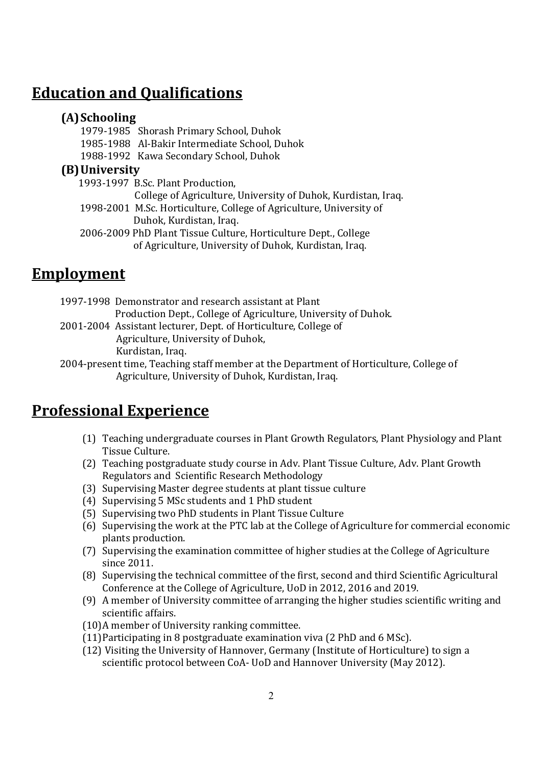#### Education and Qualifications

#### (A)Schooling

1979-1985 Shorash Primary School, Duhok 1985-1988 Al-Bakir Intermediate School, Duhok 1988-1992 Kawa Secondary School, Duhok

#### (B)University

 1993-1997 B.Sc. Plant Production, College of Agriculture, University of Duhok, Kurdistan, Iraq. 1998-2001 M.Sc. Horticulture, College of Agriculture, University of

Duhok, Kurdistan, Iraq.

2006-2009 PhD Plant Tissue Culture, Horticulture Dept., College of Agriculture, University of Duhok, Kurdistan, Iraq.

### **Employment**

- 1997-1998 Demonstrator and research assistant at Plant Production Dept., College of Agriculture, University of Duhok.
- 2001-2004 Assistant lecturer, Dept. of Horticulture, College of Agriculture, University of Duhok, Kurdistan, Iraq.
- 2004-present time, Teaching staff member at the Department of Horticulture, College of Agriculture, University of Duhok, Kurdistan, Iraq.

### Professional Experience

- (1) Teaching undergraduate courses in Plant Growth Regulators, Plant Physiology and Plant Tissue Culture.
- (2) Teaching postgraduate study course in Adv. Plant Tissue Culture, Adv. Plant Growth Regulators and Scientific Research Methodology
- (3) Supervising Master degree students at plant tissue culture
- (4) Supervising 5 MSc students and 1 PhD student
- (5) Supervising two PhD students in Plant Tissue Culture
- (6) Supervising the work at the PTC lab at the College of Agriculture for commercial economic plants production.
- (7) Supervising the examination committee of higher studies at the College of Agriculture since 2011.
- (8) Supervising the technical committee of the first, second and third Scientific Agricultural Conference at the College of Agriculture, UoD in 2012, 2016 and 2019.
- (9) A member of University committee of arranging the higher studies scientific writing and scientific affairs.
- (10)A member of University ranking committee.
- (11)Participating in 8 postgraduate examination viva (2 PhD and 6 MSc).
- (12) Visiting the University of Hannover, Germany (Institute of Horticulture) to sign a scientific protocol between CoA- UoD and Hannover University (May 2012).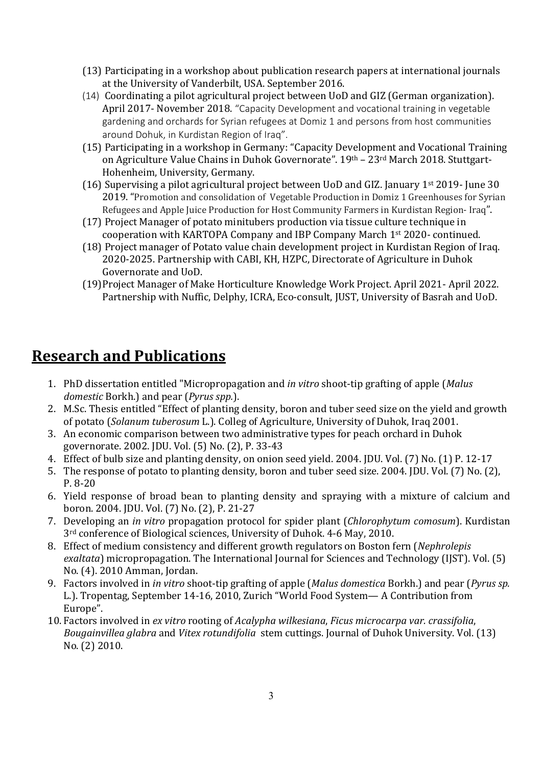- (13) Participating in a workshop about publication research papers at international journals at the University of Vanderbilt, USA. September 2016.
- (14) Coordinating a pilot agricultural project between UoD and GIZ (German organization). April 2017- November 2018. "Capacity Development and vocational training in vegetable gardening and orchards for Syrian refugees at Domiz 1 and persons from host communities around Dohuk, in Kurdistan Region of Iraq".
- (15) Participating in a workshop in Germany: "Capacity Development and Vocational Training on Agriculture Value Chains in Duhok Governorate". 19th – 23rd March 2018. Stuttgart-Hohenheim, University, Germany.
- (16) Supervising a pilot agricultural project between UoD and GIZ. January 1st 2019- June 30 2019. "Promotion and consolidation of Vegetable Production in Domiz 1 Greenhouses for Syrian Refugees and Apple Juice Production for Host Community Farmers in Kurdistan Region- Iraq".
- (17) Project Manager of potato minitubers production via tissue culture technique in cooperation with KARTOPA Company and IBP Company March 1st 2020- continued.
- (18) Project manager of Potato value chain development project in Kurdistan Region of Iraq. 2020-2025. Partnership with CABI, KH, HZPC, Directorate of Agriculture in Duhok Governorate and UoD.
- (19)Project Manager of Make Horticulture Knowledge Work Project. April 2021- April 2022. Partnership with Nuffic, Delphy, ICRA, Eco-consult, JUST, University of Basrah and UoD.

#### Research and Publications

- 1. PhD dissertation entitled "Micropropagation and *in vitro* shoot-tip grafting of apple (*Malus* domestic Borkh.) and pear (*Pyrus spp.*).
- 2. M.Sc. Thesis entitled "Effect of planting density, boron and tuber seed size on the yield and growth of potato (Solanum tuberosum L.). Colleg of Agriculture, University of Duhok, Iraq 2001.
- 3. An economic comparison between two administrative types for peach orchard in Duhok governorate. 2002. JDU. Vol. (5) No. (2), P. 33-43
- 4. Effect of bulb size and planting density, on onion seed yield. 2004. JDU. Vol. (7) No. (1) P. 12-17
- 5. The response of potato to planting density, boron and tuber seed size. 2004. JDU. Vol. (7) No. (2), P. 8-20
- 6. Yield response of broad bean to planting density and spraying with a mixture of calcium and boron. 2004. JDU. Vol. (7) No. (2), P. 21-27
- 7. Developing an in vitro propagation protocol for spider plant (Chlorophytum comosum). Kurdistan 3rd conference of Biological sciences, University of Duhok. 4-6 May, 2010.
- 8. Effect of medium consistency and different growth regulators on Boston fern (Nephrolepis exaltata) micropropagation. The International Journal for Sciences and Technology (IJST). Vol. (5) No. (4). 2010 Amman, Jordan.
- 9. Factors involved in in vitro shoot-tip grafting of apple (Malus domestica Borkh.) and pear (Pyrus sp. L.). Tropentag, September 14-16, 2010, Zurich "World Food System— A Contribution from Europe".
- 10. Factors involved in ex vitro rooting of Acalypha wilkesiana, Ficus microcarpa var. crassifolia, Bougainvillea glabra and Vitex rotundifolia stem cuttings. Journal of Duhok University. Vol. (13) No. (2) 2010.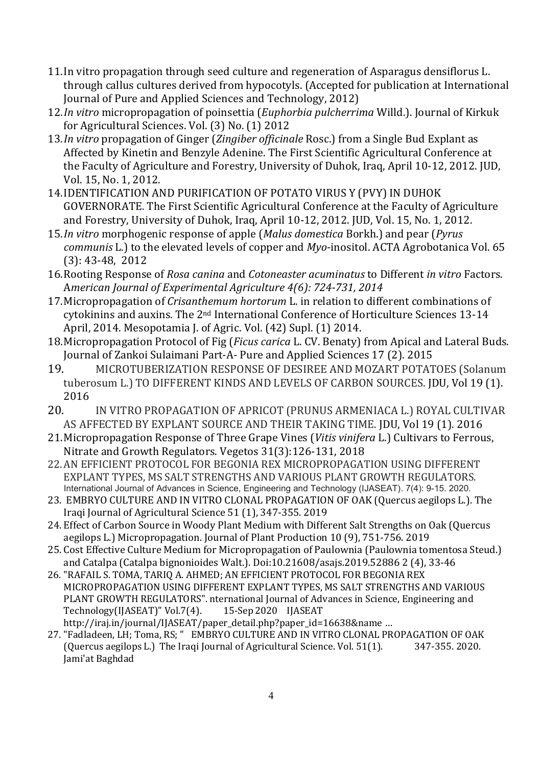- 11.In vitro propagation through seed culture and regeneration of Asparagus densiflorus L. through callus cultures derived from hypocotyls. (Accepted for publication at International Journal of Pure and Applied Sciences and Technology, 2012)
- 12.In vitro micropropagation of poinsettia (Euphorbia pulcherrima Willd.). Journal of Kirkuk for Agricultural Sciences. Vol. (3) No. (1) 2012
- 13.In vitro propagation of Ginger (Zingiber officinale Rosc.) from a Single Bud Explant as Affected by Kinetin and Benzyle Adenine. The First Scientific Agricultural Conference at the Faculty of Agriculture and Forestry, University of Duhok, Iraq, April 10-12, 2012. JUD, Vol. 15, No. 1, 2012.
- 14.IDENTIFICATION AND PURIFICATION OF POTATO VIRUS Y (PVY) IN DUHOK GOVERNORATE. The First Scientific Agricultural Conference at the Faculty of Agriculture and Forestry, University of Duhok, Iraq, April 10-12, 2012. JUD, Vol. 15, No. 1, 2012.
- 15.In vitro morphogenic response of apple (Malus domestica Borkh.) and pear (Pyrus communis L.) to the elevated levels of copper and Myo-inositol. ACTA Agrobotanica Vol. 65 (3): 43-48, 2012
- 16.Rooting Response of Rosa canina and Cotoneaster acuminatus to Different in vitro Factors. American Journal of Experimental Agriculture 4(6): 724-731, 2014
- 17.Micropropagation of Crisanthemum hortorum L. in relation to different combinations of cytokinins and auxins. The 2nd International Conference of Horticulture Sciences 13-14 April, 2014. Mesopotamia J. of Agric. Vol. (42) Supl. (1) 2014.
- 18. Micropropagation Protocol of Fig (*Ficus carica* L. CV. Benaty) from Apical and Lateral Buds. Journal of Zankoi Sulaimani Part-A- Pure and Applied Sciences 17 (2). 2015
- 19. MICROTUBERIZATION RESPONSE OF DESIREE AND MOZART POTATOES (Solanum tuberosum L.) TO DIFFERENT KINDS AND LEVELS OF CARBON SOURCES. JDU, Vol 19 (1). 2016
- 20. IN VITRO PROPAGATION OF APRICOT (PRUNUS ARMENIACA L.) ROYAL CULTIVAR AS AFFECTED BY EXPLANT SOURCE AND THEIR TAKING TIME. JDU, Vol 19 (1). 2016
- 21.Micropropagation Response of Three Grape Vines (Vitis vinifera L.) Cultivars to Ferrous, Nitrate and Growth Regulators. Vegetos 31(3):126-131, 2018
- 22.AN EFFICIENT PROTOCOL FOR BEGONIA REX MICROPROPAGATION USING DIFFERENT EXPLANT TYPES, MS SALT STRENGTHS AND VARIOUS PLANT GROWTH REGULATORS. International Journal of Advances in Science, Engineering and Technology (IJASEAT). 7(4): 9-15. 2020.
- 23. EMBRYO CULTURE AND IN VITRO CLONAL PROPAGATION OF OAK (Quercus aegilops L.). The Iraqi Journal of Agricultural Science 51 (1), 347-355. 2019
- 24. Effect of Carbon Source in Woody Plant Medium with Different Salt Strengths on Oak (Quercus aegilops L.) Micropropagation. Journal of Plant Production 10 (9), 751-756. 2019
- 25. Cost Effective Culture Medium for Micropropagation of Paulownia (Paulownia tomentosa Steud.) and Catalpa (Catalpa bignonioides Walt.). Doi:10.21608/asajs.2019.52886 2 (4), 33-46
- 26. "RAFAIL S. TOMA, TARIQ A. AHMED; AN EFFICIENT PROTOCOL FOR BEGONIA REX MICROPROPAGATION USING DIFFERENT EXPLANT TYPES, MS SALT STRENGTHS AND VARIOUS PLANT GROWTH REGULATORS". nternational Journal of Advances in Science, Engineering and Technology(IJASEAT)" Vol.7(4). 15-Sep 2020 IJASEAT http://iraj.in/journal/IJASEAT/paper\_detail.php?paper\_id=16638&name …
- 27. "Fadladeen, LH; Toma, RS; " EMBRYO CULTURE AND IN VITRO CLONAL PROPAGATION OF OAK (Quercus aegilops L.) The Iraqi Journal of Agricultural Science. Vol. 51(1). 347-355. 2020. Jami'at Baghdad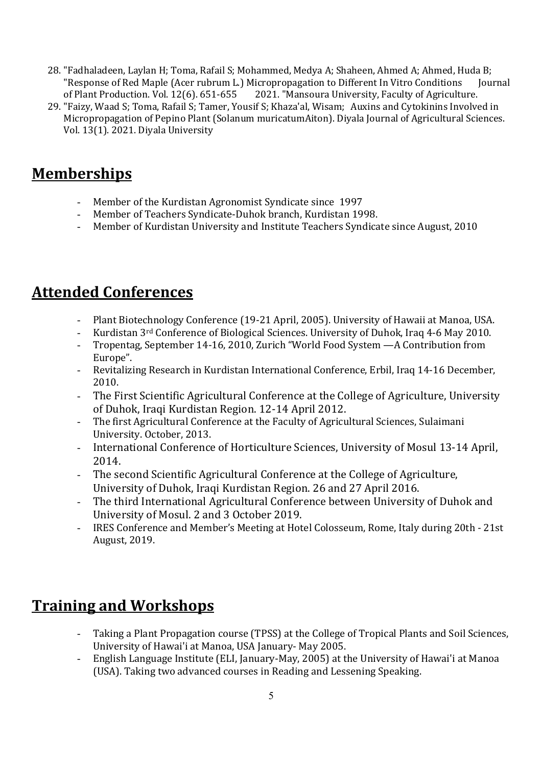- 28. "Fadhaladeen, Laylan H; Toma, Rafail S; Mohammed, Medya A; Shaheen, Ahmed A; Ahmed, Huda B; "Response of Red Maple (Acer rubrum L.) Micropropagation to Different In Vitro Conditions Journal of Plant Production. Vol. 12(6). 651-655 2021. "Mansoura University, Faculty of Agriculture.
- 29. "Faizy, Waad S; Toma, Rafail S; Tamer, Yousif S; Khaza'al, Wisam; Auxins and Cytokinins Involved in Micropropagation of Pepino Plant (Solanum muricatumAiton). Diyala Journal of Agricultural Sciences. Vol. 13(1). 2021. Diyala University

#### **Memberships**

- Member of the Kurdistan Agronomist Syndicate since 1997
- Member of Teachers Syndicate-Duhok branch, Kurdistan 1998.
- Member of Kurdistan University and Institute Teachers Syndicate since August, 2010

#### Attended Conferences

- Plant Biotechnology Conference (19-21 April, 2005). University of Hawaii at Manoa, USA.
- Kurdistan 3rd Conference of Biological Sciences. University of Duhok, Iraq 4-6 May 2010.
- Tropentag, September 14-16, 2010, Zurich "World Food System —A Contribution from Europe".
- Revitalizing Research in Kurdistan International Conference, Erbil, Iraq 14-16 December, 2010.
- The First Scientific Agricultural Conference at the College of Agriculture, University of Duhok, Iraqi Kurdistan Region. 12-14 April 2012.
- The first Agricultural Conference at the Faculty of Agricultural Sciences, Sulaimani University. October, 2013.
- International Conference of Horticulture Sciences, University of Mosul 13-14 April, 2014.
- The second Scientific Agricultural Conference at the College of Agriculture, University of Duhok, Iraqi Kurdistan Region. 26 and 27 April 2016.
- The third International Agricultural Conference between University of Duhok and University of Mosul. 2 and 3 October 2019.
- IRES Conference and Member's Meeting at Hotel Colosseum, Rome, Italy during 20th 21st August, 2019.

### Training and Workshops

- Taking a Plant Propagation course (TPSS) at the College of Tropical Plants and Soil Sciences, University of Hawai'i at Manoa, USA January- May 2005.
- English Language Institute (ELI, January-May, 2005) at the University of Hawai'i at Manoa (USA). Taking two advanced courses in Reading and Lessening Speaking.